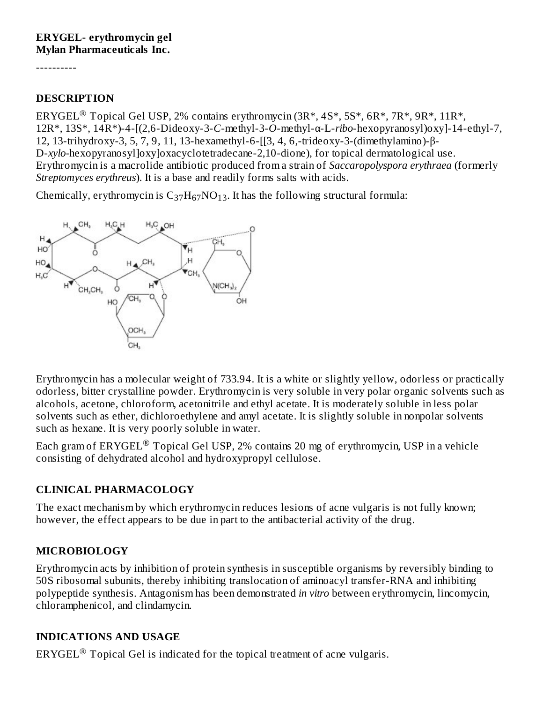----------

# **DESCRIPTION**

 $\text{ERYGEL}^{\circledR}$  Topical Gel USP, 2% contains erythromycin (3R\*, 4S\*, 5S\*, 6R\*, 7R\*, 9R\*, 11R\*, 12R\*, 13S\*, 14R\*)-4-[(2,6-Dideoxy-3-*C*-methyl-3-*O*-methyl-α-L-*ribo*-hexopyranosyl)oxy]-14-ethyl-7, 12, 13-trihydroxy-3, 5, 7, 9, 11, 13-hexamethyl-6-[[3, 4, 6,-trideoxy-3-(dimethylamino)-β-D-*xylo-*hexopyranosyl]oxy]oxacyclotetradecane-2,10-dione), for topical dermatological use. Erythromycin is a macrolide antibiotic produced from a strain of *Saccaropolyspora erythraea* (formerly *Streptomyces erythreus*). It is a base and readily forms salts with acids.

Chemically, erythromycin is  $C_{37}H_{67}NO_{13}$ . It has the following structural formula:



Erythromycin has a molecular weight of 733.94. It is a white or slightly yellow, odorless or practically odorless, bitter crystalline powder. Erythromycin is very soluble in very polar organic solvents such as alcohols, acetone, chloroform, acetonitrile and ethyl acetate. It is moderately soluble in less polar solvents such as ether, dichloroethylene and amyl acetate. It is slightly soluble in nonpolar solvents such as hexane. It is very poorly soluble in water.

Each gram of  $\text{ERYGEL}^{\circledR}$  Topical Gel USP, 2% contains 20 mg of erythromycin, USP in a vehicle consisting of dehydrated alcohol and hydroxypropyl cellulose.

# **CLINICAL PHARMACOLOGY**

The exact mechanism by which erythromycin reduces lesions of acne vulgaris is not fully known; however, the effect appears to be due in part to the antibacterial activity of the drug.

# **MICROBIOLOGY**

Erythromycin acts by inhibition of protein synthesis in susceptible organisms by reversibly binding to 50S ribosomal subunits, thereby inhibiting translocation of aminoacyl transfer-RNA and inhibiting polypeptide synthesis. Antagonism has been demonstrated *in vitro* between erythromycin, lincomycin, chloramphenicol, and clindamycin.

# **INDICATIONS AND USAGE**

 $ERYGEL^@$  Topical Gel is indicated for the topical treatment of acne vulgaris.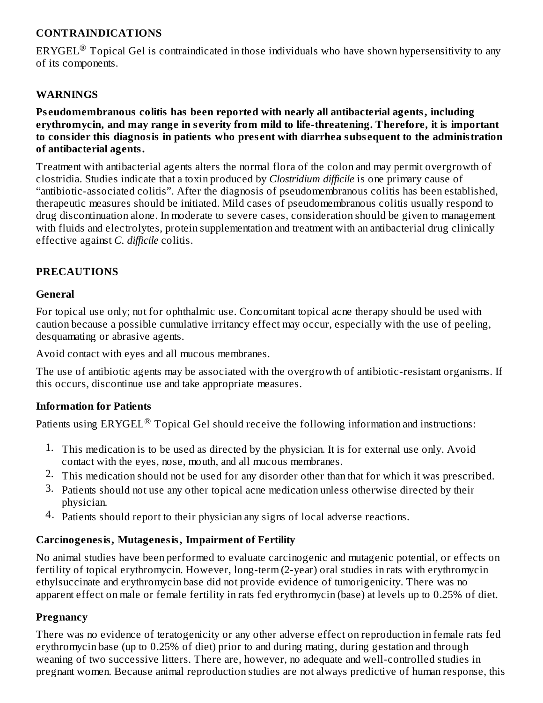## **CONTRAINDICATIONS**

 $\text{ERYGEL}^{\circledR}$  Topical Gel is contraindicated in those individuals who have shown hypersensitivity to any of its components.

### **WARNINGS**

**Ps eudomembranous colitis has been reported with nearly all antibacterial agents, including erythromycin, and may range in s everity from mild to life-threatening. Therefore, it is important to consider this diagnosis in patients who pres ent with diarrhea subs equent to the administration of antibacterial agents.**

Treatment with antibacterial agents alters the normal flora of the colon and may permit overgrowth of clostridia. Studies indicate that a toxin produced by *Clostridium difficile* is one primary cause of "antibiotic-associated colitis". After the diagnosis of pseudomembranous colitis has been established, therapeutic measures should be initiated. Mild cases of pseudomembranous colitis usually respond to drug discontinuation alone. In moderate to severe cases, consideration should be given to management with fluids and electrolytes, protein supplementation and treatment with an antibacterial drug clinically effective against *C. difficile* colitis.

## **PRECAUTIONS**

#### **General**

For topical use only; not for ophthalmic use. Concomitant topical acne therapy should be used with caution because a possible cumulative irritancy effect may occur, especially with the use of peeling, desquamating or abrasive agents.

Avoid contact with eyes and all mucous membranes.

The use of antibiotic agents may be associated with the overgrowth of antibiotic-resistant organisms. If this occurs, discontinue use and take appropriate measures.

#### **Information for Patients**

Patients using  $\text{ERYGEL}^{\circledR}$  Topical Gel should receive the following information and instructions:

- 1. This medication is to be used as directed by the physician. It is for external use only. Avoid contact with the eyes, nose, mouth, and all mucous membranes.
- <sup>2.</sup> This medication should not be used for any disorder other than that for which it was prescribed.
- 3. Patients should not use any other topical acne medication unless otherwise directed by their physician.
- 4. Patients should report to their physician any signs of local adverse reactions.

## **Carcinogenesis, Mutagenesis, Impairment of Fertility**

No animal studies have been performed to evaluate carcinogenic and mutagenic potential, or effects on fertility of topical erythromycin. However, long-term (2-year) oral studies in rats with erythromycin ethylsuccinate and erythromycin base did not provide evidence of tumorigenicity. There was no apparent effect on male or female fertility in rats fed erythromycin (base) at levels up to 0.25% of diet.

## **Pregnancy**

There was no evidence of teratogenicity or any other adverse effect on reproduction in female rats fed erythromycin base (up to 0.25% of diet) prior to and during mating, during gestation and through weaning of two successive litters. There are, however, no adequate and well-controlled studies in pregnant women. Because animal reproduction studies are not always predictive of human response, this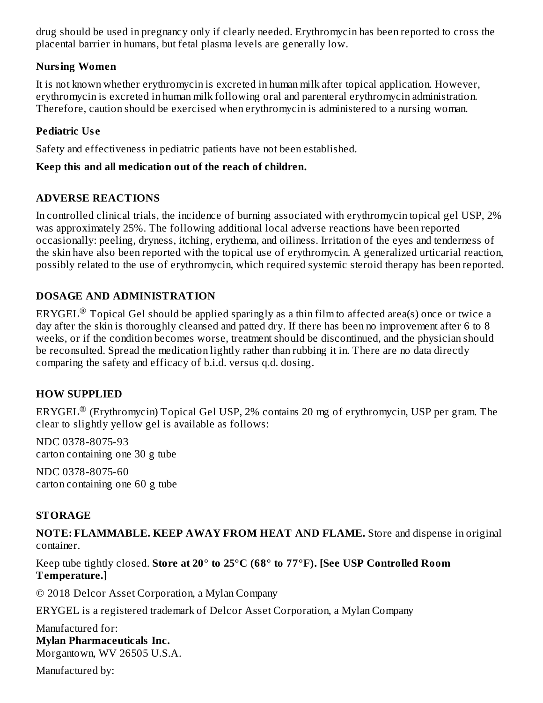drug should be used in pregnancy only if clearly needed. Erythromycin has been reported to cross the placental barrier in humans, but fetal plasma levels are generally low.

# **Nursing Women**

It is not known whether erythromycin is excreted in human milk after topical application. However, erythromycin is excreted in human milk following oral and parenteral erythromycin administration. Therefore, caution should be exercised when erythromycin is administered to a nursing woman.

# **Pediatric Us e**

Safety and effectiveness in pediatric patients have not been established.

## **Keep this and all medication out of the reach of children.**

# **ADVERSE REACTIONS**

In controlled clinical trials, the incidence of burning associated with erythromycin topical gel USP, 2% was approximately 25%. The following additional local adverse reactions have been reported occasionally: peeling, dryness, itching, erythema, and oiliness. Irritation of the eyes and tenderness of the skin have also been reported with the topical use of erythromycin. A generalized urticarial reaction, possibly related to the use of erythromycin, which required systemic steroid therapy has been reported.

# **DOSAGE AND ADMINISTRATION**

 $\text{ERYGEL}^{\circledR}$  Topical Gel should be applied sparingly as a thin film to affected area(s) once or twice a day after the skin is thoroughly cleansed and patted dry. If there has been no improvement after 6 to 8 weeks, or if the condition becomes worse, treatment should be discontinued, and the physician should be reconsulted. Spread the medication lightly rather than rubbing it in. There are no data directly comparing the safety and efficacy of b.i.d. versus q.d. dosing.

## **HOW SUPPLIED**

 $\text{ERYGEL}^{\circledR}$  (Erythromycin) Topical Gel USP, 2% contains 20 mg of erythromycin, USP per gram. The clear to slightly yellow gel is available as follows:

NDC 0378-8075-93 carton containing one 30 g tube

NDC 0378-8075-60 carton containing one 60 g tube

## **STORAGE**

**NOTE: FLAMMABLE. KEEP AWAY FROM HEAT AND FLAME.** Store and dispense in original container.

Keep tube tightly closed. **Store at 20° to 25°C (68° to 77°F). [See USP Controlled Room Temperature.]**

© 2018 Delcor Asset Corporation, a Mylan Company

ERYGEL is a registered trademark of Delcor Asset Corporation, a Mylan Company

Manufactured for: **Mylan Pharmaceuticals Inc.** Morgantown, WV 26505 U.S.A.

Manufactured by: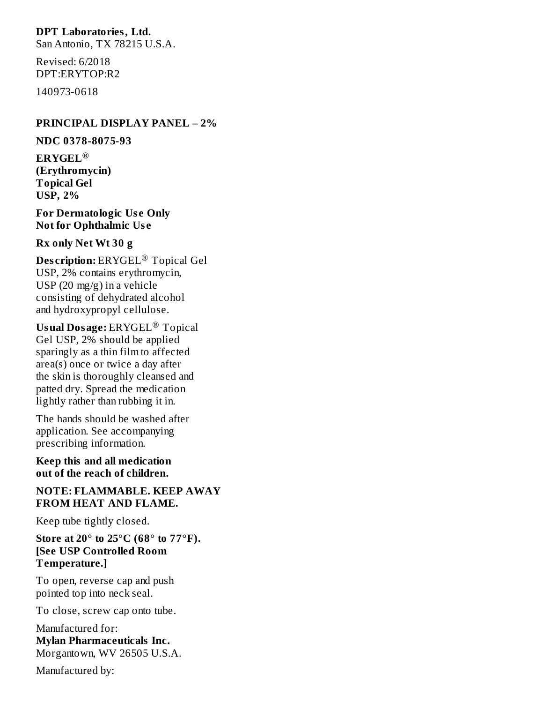## **DPT Laboratories, Ltd.**

San Antonio, TX 78215 U.S.A.

Revised: 6/2018 DPT:ERYTOP:R2

140973-0618

#### **PRINCIPAL DISPLAY PANEL – 2%**

#### **NDC 0378-8075-93**

**ERYGEL ® (Erythromycin) Topical Gel USP, 2%**

**For Dermatologic Us e Only Not for Ophthalmic Us e**

## **Rx only Net Wt 30 g**

**Description:** ERYGEL® Topical Gel USP, 2% contains erythromycin, USP (20 mg/g) in a vehicle consisting of dehydrated alcohol and hydroxypropyl cellulose.

**Usual Dosage:** ERYGEL Topical ®Gel USP, 2% should be applied sparingly as a thin film to affected area(s) once or twice a day after the skin is thoroughly cleansed and patted dry. Spread the medication lightly rather than rubbing it in.

The hands should be washed after application. See accompanying prescribing information.

#### **Keep this and all medication out of the reach of children.**

#### **NOTE: FLAMMABLE. KEEP AWAY FROM HEAT AND FLAME.**

Keep tube tightly closed.

### **Store at 20° to 25°C (68° to 77°F). [See USP Controlled Room Temperature.]**

To open, reverse cap and push pointed top into neck seal.

To close, screw cap onto tube.

Manufactured for: **Mylan Pharmaceuticals Inc.** Morgantown, WV 26505 U.S.A.

Manufactured by: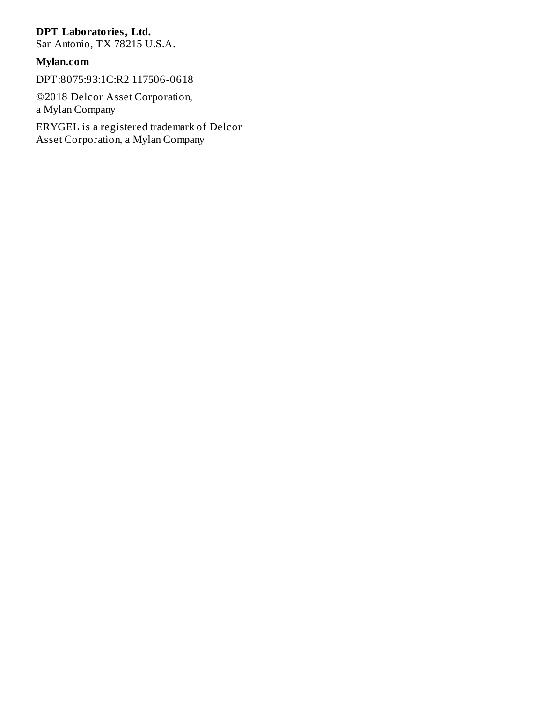# **DPT Laboratories, Ltd.**

San Antonio, TX 78215 U.S.A.

**Mylan.com**

DPT:8075:93:1C:R2 117506-0618

©2018 Delcor Asset Corporation, a Mylan Company

ERYGEL is a registered trademark of Delcor Asset Corporation, a Mylan Company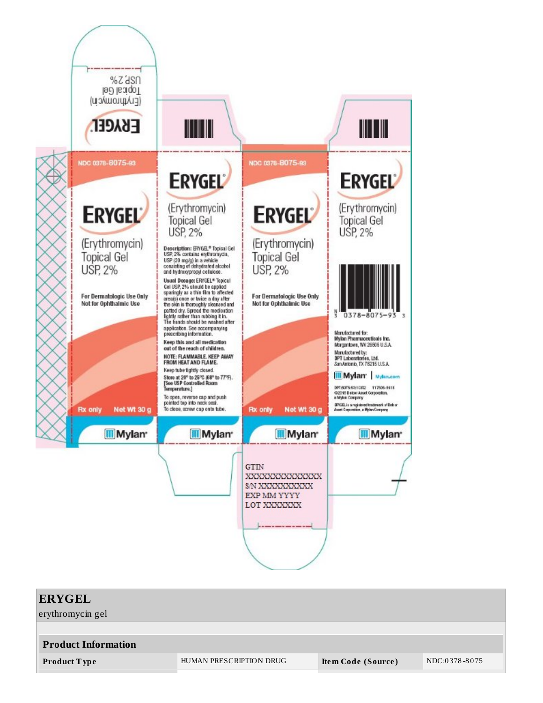

| <b>Product Information</b> |                    |               |  |  |  |  |
|----------------------------|--------------------|---------------|--|--|--|--|
| HUMAN PRESCRIPTION DRUG    | Item Code (Source) | NDC:0378-8075 |  |  |  |  |
|                            |                    |               |  |  |  |  |